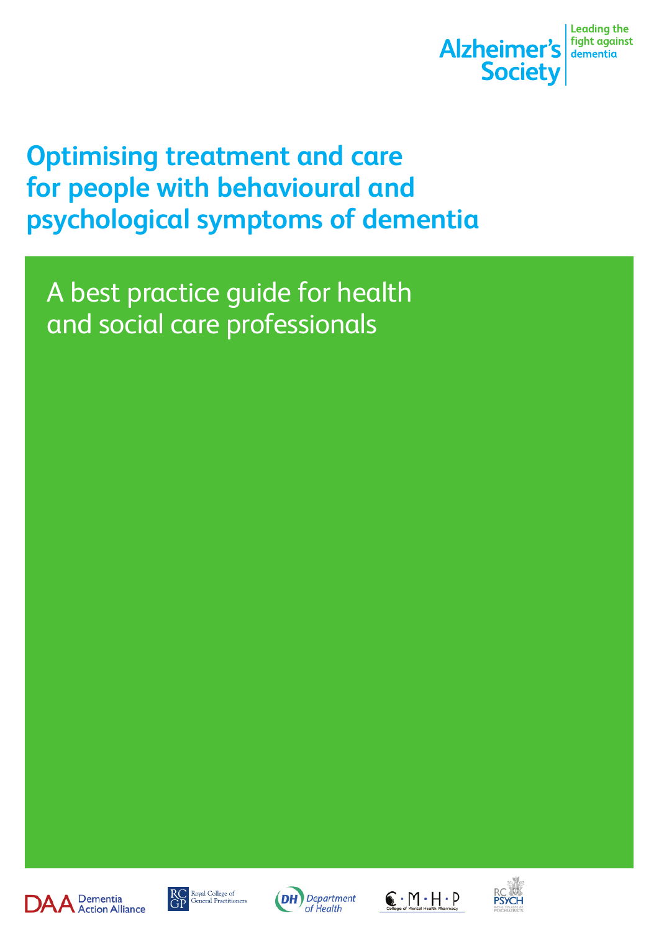

## **Optimising treatment and care for people with behavioural and psychological symptoms of dementia**

A best practice guide for health and social care professionals









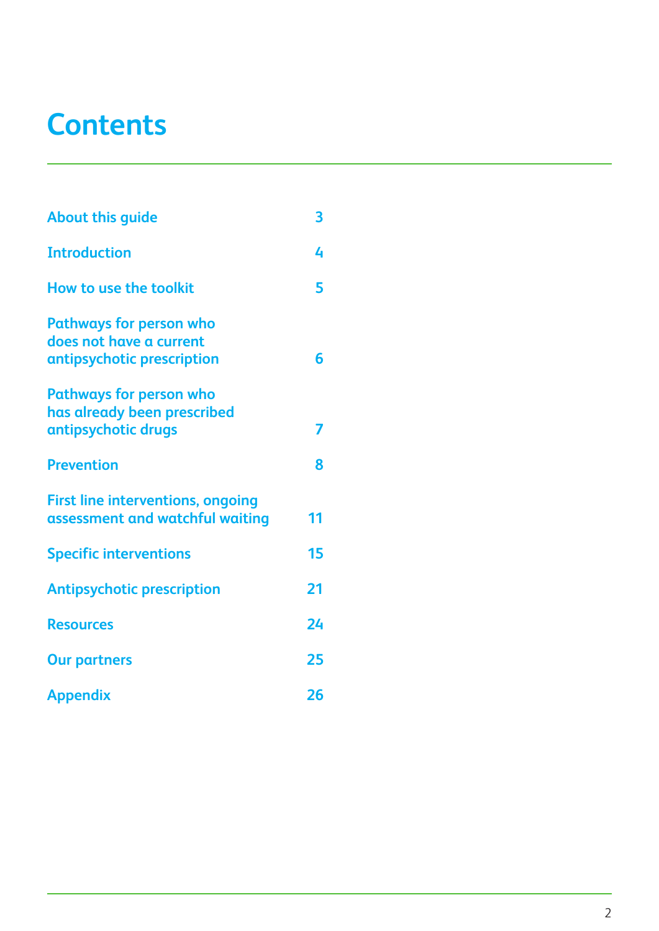## **Contents**

| <b>About this guide</b>                                                                 | 3  |
|-----------------------------------------------------------------------------------------|----|
| <b>Introduction</b>                                                                     | 4  |
| How to use the toolkit                                                                  | 5  |
| <b>Pathways for person who</b><br>does not have a current<br>antipsychotic prescription | 6  |
| <b>Pathways for person who</b><br>has already been prescribed<br>antipsychotic drugs    |    |
| <b>Prevention</b>                                                                       | 8  |
| <b>First line interventions, ongoing</b><br>assessment and watchful waiting             | 11 |
| <b>Specific interventions</b>                                                           | 15 |
| <b>Antipsychotic prescription</b>                                                       | 21 |
| <b>Resources</b>                                                                        | 24 |
| <b>Our partners</b>                                                                     | 25 |
| <b>Appendix</b>                                                                         | 26 |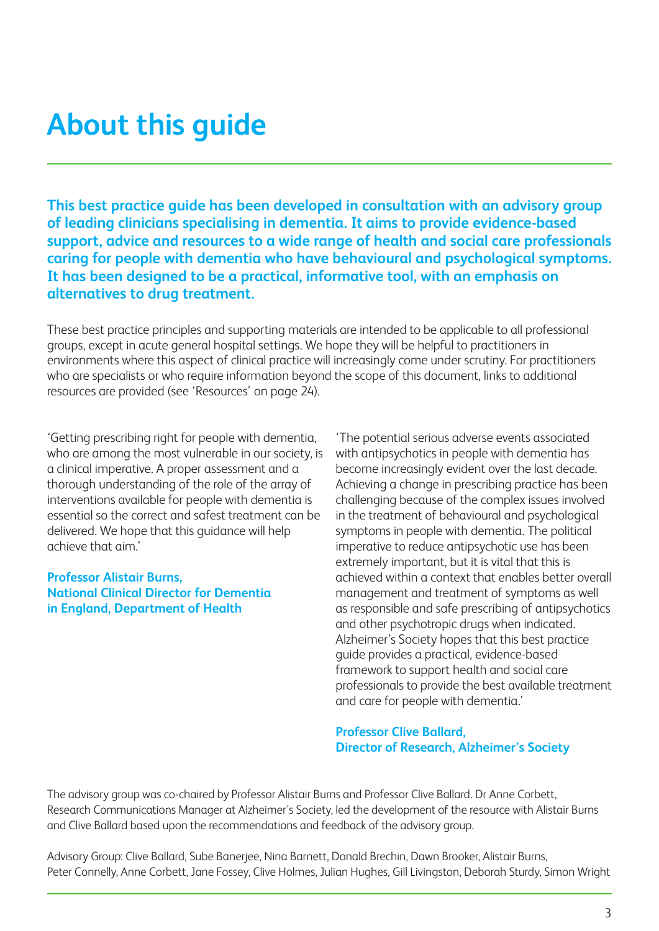## **About this guide**

**This best practice guide has been developed in consultation with an advisory group of leading clinicians specialising in dementia. It aims to provide evidence-based support, advice and resources to a wide range of health and social care professionals caring for people with dementia who have behavioural and psychological symptoms. It has been designed to be a practical, informative tool, with an emphasis on alternatives to drug treatment.**

These best practice principles and supporting materials are intended to be applicable to all professional groups, except in acute general hospital settings. We hope they will be helpful to practitioners in environments where this aspect of clinical practice will increasingly come under scrutiny. For practitioners who are specialists or who require information beyond the scope of this document, links to additional resources are provided (see 'Resources' on page 24).

'Getting prescribing right for people with dementia, who are among the most vulnerable in our society, is a clinical imperative. A proper assessment and a thorough understanding of the role of the array of interventions available for people with dementia is essential so the correct and safest treatment can be delivered. We hope that this guidance will help achieve that aim.'

#### **Professor Alistair Burns, National Clinical Director for Dementia in England, Department of Health**

'The potential serious adverse events associated with antipsychotics in people with dementia has become increasingly evident over the last decade. Achieving a change in prescribing practice has been challenging because of the complex issues involved in the treatment of behavioural and psychological symptoms in people with dementia. The political imperative to reduce antipsychotic use has been extremely important, but it is vital that this is achieved within a context that enables better overall management and treatment of symptoms as well as responsible and safe prescribing of antipsychotics and other psychotropic drugs when indicated. Alzheimer's Society hopes that this best practice guide provides a practical, evidence-based framework to support health and social care professionals to provide the best available treatment and care for people with dementia.'

#### **Professor Clive Ballard, Director of Research, Alzheimer's Society**

The advisory group was co-chaired by Professor Alistair Burns and Professor Clive Ballard. Dr Anne Corbett, Research Communications Manager at Alzheimer's Society, led the development of the resource with Alistair Burns and Clive Ballard based upon the recommendations and feedback of the advisory group.

Advisory Group: Clive Ballard, Sube Banerjee, Nina Barnett, Donald Brechin, Dawn Brooker, Alistair Burns, Peter Connelly, Anne Corbett, Jane Fossey, Clive Holmes, Julian Hughes, Gill Livingston, Deborah Sturdy, Simon Wright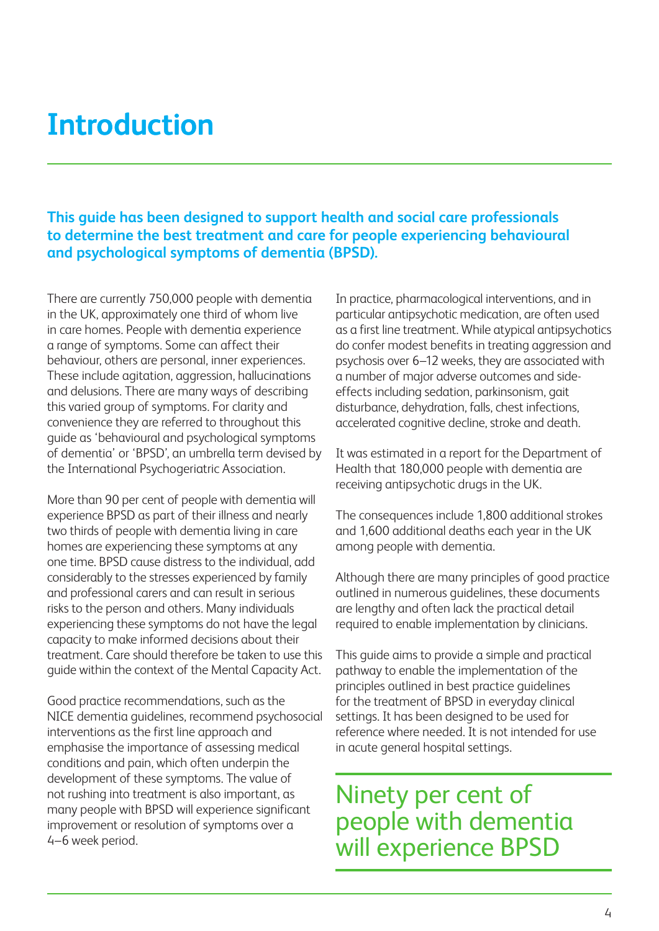## **Introduction**

**This guide has been designed to support health and social care professionals to determine the best treatment and care for people experiencing behavioural and psychological symptoms of dementia (BPSD).**

There are currently 750,000 people with dementia in the UK, approximately one third of whom live in care homes. People with dementia experience a range of symptoms. Some can affect their behaviour, others are personal, inner experiences. These include agitation, aggression, hallucinations and delusions. There are many ways of describing this varied group of symptoms. For clarity and convenience they are referred to throughout this guide as 'behavioural and psychological symptoms of dementia' or 'BPSD', an umbrella term devised by the International Psychogeriatric Association.

More than 90 per cent of people with dementia will experience BPSD as part of their illness and nearly two thirds of people with dementia living in care homes are experiencing these symptoms at any one time. BPSD cause distress to the individual, add considerably to the stresses experienced by family and professional carers and can result in serious risks to the person and others. Many individuals experiencing these symptoms do not have the legal capacity to make informed decisions about their treatment. Care should therefore be taken to use this guide within the context of the Mental Capacity Act.

Good practice recommendations, such as the NICE dementia guidelines, recommend psychosocial interventions as the first line approach and emphasise the importance of assessing medical conditions and pain, which often underpin the development of these symptoms. The value of not rushing into treatment is also important, as many people with BPSD will experience significant improvement or resolution of symptoms over a 4–6 week period.

In practice, pharmacological interventions, and in particular antipsychotic medication, are often used as a first line treatment. While atypical antipsychotics do confer modest benefits in treating aggression and psychosis over 6–12 weeks, they are associated with a number of major adverse outcomes and sideeffects including sedation, parkinsonism, gait disturbance, dehydration, falls, chest infections, accelerated cognitive decline, stroke and death.

It was estimated in a report for the Department of Health that 180,000 people with dementia are receiving antipsychotic drugs in the UK.

The consequences include 1,800 additional strokes and 1,600 additional deaths each year in the UK among people with dementia.

Although there are many principles of good practice outlined in numerous guidelines, these documents are lengthy and often lack the practical detail required to enable implementation by clinicians.

This guide aims to provide a simple and practical pathway to enable the implementation of the principles outlined in best practice guidelines for the treatment of BPSD in everyday clinical settings. It has been designed to be used for reference where needed. It is not intended for use in acute general hospital settings.

Ninety per cent of people with dementia will experience BPSD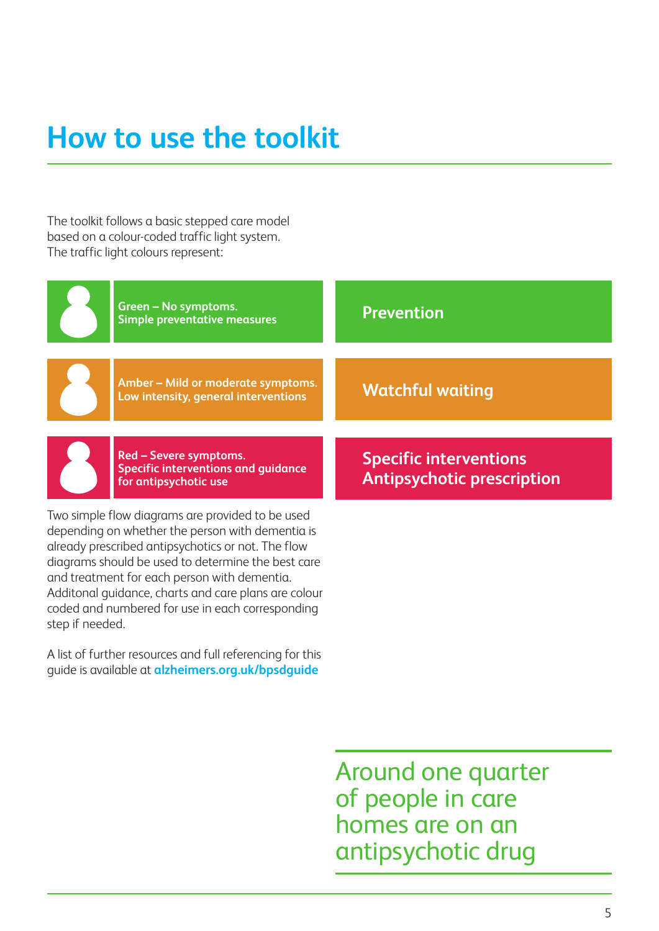## **How to use the toolkit**

The toolkit follows a basic stepped care model based on a colour-coded traffic light system. The traffic light colours represent:

| <b>Green - No symptoms.</b><br><b>Simple preventative measures</b>         | <b>Prevention</b>                 |
|----------------------------------------------------------------------------|-----------------------------------|
| Amber - Mild or moderate symptoms.<br>Low intensity, general interventions | <b>Watchful waiting</b>           |
| Red - Severe symptoms.<br><b>Specific interventions and guidance</b>       | <b>Specific interventions</b>     |
| for antipsychotic use                                                      | <b>Antipsychotic prescription</b> |

A list of further resources and full referencing for this guide is available at **alzheimers.org.uk/bpsdguide**

coded and numbered for use in each corresponding

step if needed.

Around one quarter of people in care homes are on an antipsychotic drug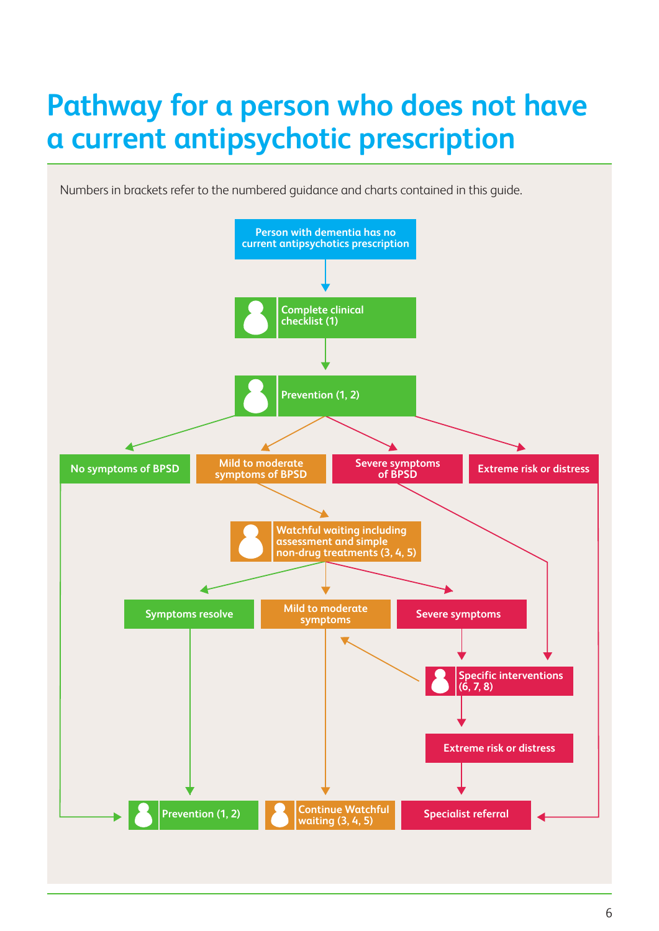## **Pathway for a person who does not have a current antipsychotic prescription**

Numbers in brackets refer to the numbered guidance and charts contained in this guide.

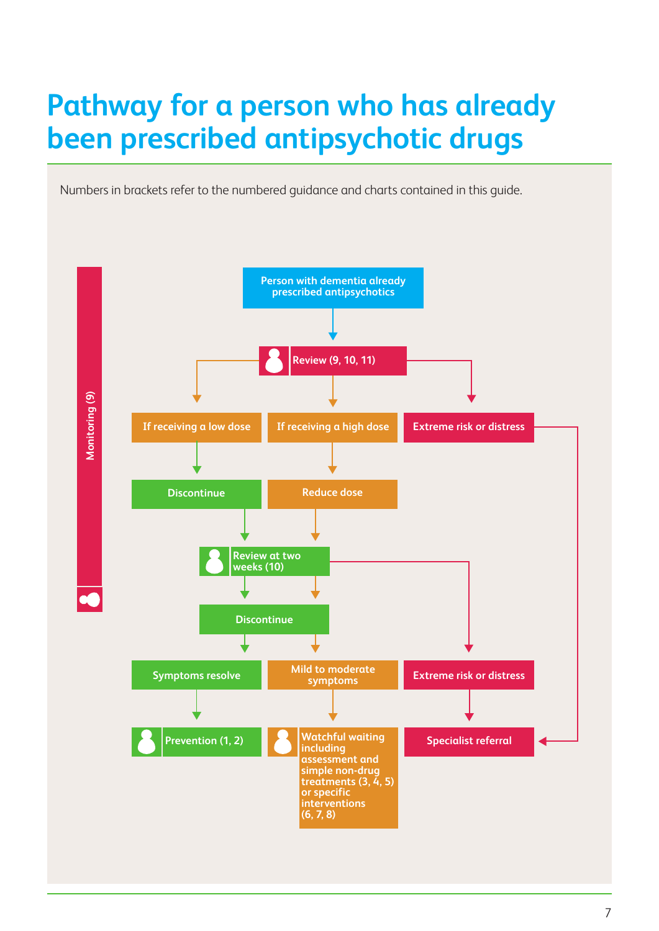## **Pathway for a person who has already been prescribed antipsychotic drugs**

Numbers in brackets refer to the numbered guidance and charts contained in this guide.

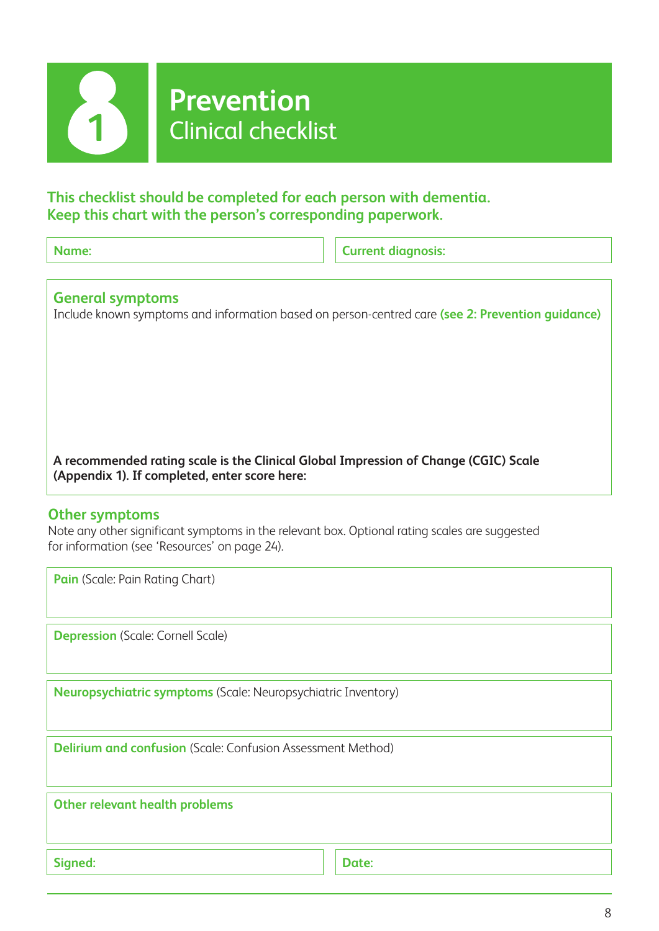

## **Prevention** Clinical checklist

#### **This checklist should be completed for each person with dementia. Keep this chart with the person's corresponding paperwork.**

**Name:** Current diagnosis:

#### **General symptoms**

Include known symptoms and information based on person-centred care **(see 2: Prevention guidance)**

**A recommended rating scale is the Clinical Global Impression of Change (CGIC) Scale (Appendix 1). If completed, enter score here:**

#### **Other symptoms**

Note any other significant symptoms in the relevant box. Optional rating scales are suggested for information (see 'Resources' on page 24).

**Pain** (Scale: Pain Rating Chart)

**Depression** (Scale: Cornell Scale)

**Neuropsychiatric symptoms** (Scale: Neuropsychiatric Inventory)

**Delirium and confusion** (Scale: Confusion Assessment Method)

**Other relevant health problems**

Signed: **Date: Date: Date: Date: Date: Date: Date: Date: Date: Date: Date: Date: Date: Date: Date: Date: Date: Date: Date: Date: Date: Date: Date: Date: Date: Date: Date:**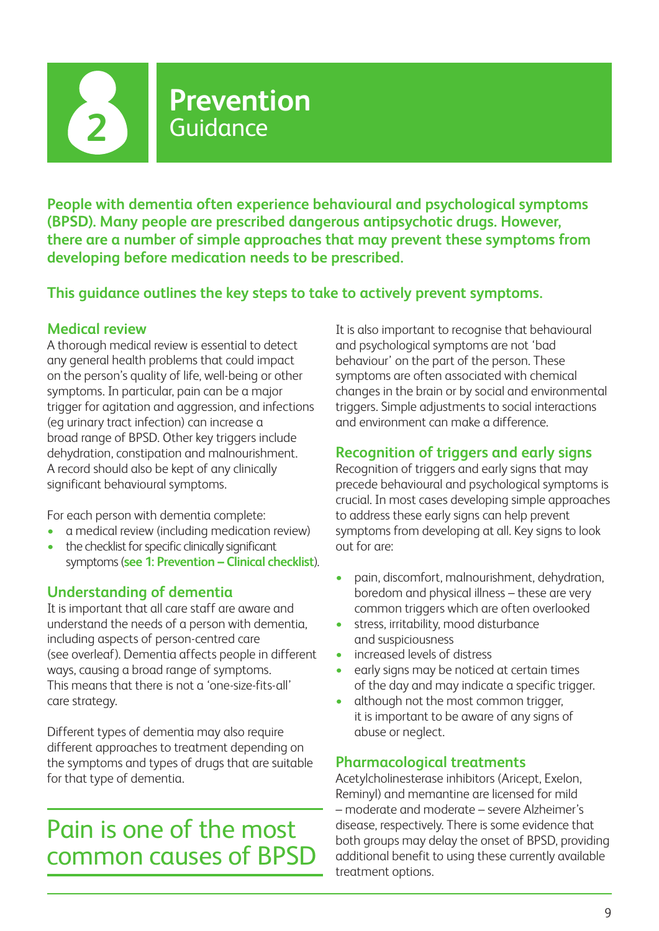**2**

### **Prevention** Guidance

**People with dementia often experience behavioural and psychological symptoms (BPSD). Many people are prescribed dangerous antipsychotic drugs. However, there are a number of simple approaches that may prevent these symptoms from developing before medication needs to be prescribed.** 

**This guidance outlines the key steps to take to actively prevent symptoms.**

#### **Medical review**

A thorough medical review is essential to detect any general health problems that could impact on the person's quality of life, well-being or other symptoms. In particular, pain can be a major trigger for agitation and aggression, and infections (eg urinary tract infection) can increase a broad range of BPSD. Other key triggers include dehydration, constipation and malnourishment. A record should also be kept of any clinically significant behavioural symptoms.

For each person with dementia complete:

- a medical review (including medication review)
- the checklist for specific clinically significant symptoms (**see 1: Prevention – Clinical checklist**).

#### **Understanding of dementia**

It is important that all care staff are aware and understand the needs of a person with dementia, including aspects of person-centred care (see overleaf). Dementia affects people in different ways, causing a broad range of symptoms. This means that there is not a 'one-size-fits-all' care strategy.

Different types of dementia may also require different approaches to treatment depending on the symptoms and types of drugs that are suitable for that type of dementia.

## Pain is one of the most common causes of BPSD

It is also important to recognise that behavioural and psychological symptoms are not 'bad behaviour' on the part of the person. These symptoms are often associated with chemical changes in the brain or by social and environmental triggers. Simple adjustments to social interactions and environment can make a difference.

#### **Recognition of triggers and early signs**

Recognition of triggers and early signs that may precede behavioural and psychological symptoms is crucial. In most cases developing simple approaches to address these early signs can help prevent symptoms from developing at all. Key signs to look out for are:

- pain, discomfort, malnourishment, dehydration, boredom and physical illness – these are very common triggers which are often overlooked
- stress, irritability, mood disturbance and suspiciousness
- increased levels of distress
- early signs may be noticed at certain times of the day and may indicate a specific trigger.
- although not the most common trigger, it is important to be aware of any signs of abuse or neglect.

#### **Pharmacological treatments**

Acetylcholinesterase inhibitors (Aricept, Exelon, Reminyl) and memantine are licensed for mild – moderate and moderate – severe Alzheimer's disease, respectively. There is some evidence that both groups may delay the onset of BPSD, providing additional benefit to using these currently available treatment options.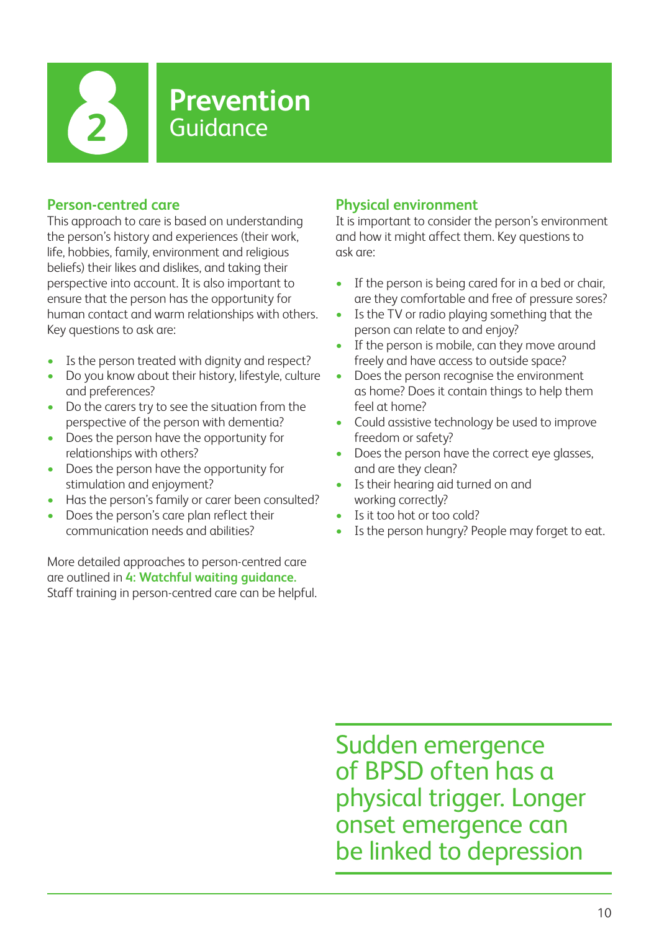

### **Prevention 2** Guidance

#### **Person-centred care**

This approach to care is based on understanding the person's history and experiences (their work, life, hobbies, family, environment and religious beliefs) their likes and dislikes, and taking their perspective into account. It is also important to ensure that the person has the opportunity for human contact and warm relationships with others. Key questions to ask are:

- Is the person treated with dignity and respect?
- Do you know about their history, lifestyle, culture and preferences?
- Do the carers try to see the situation from the perspective of the person with dementia?
- Does the person have the opportunity for relationships with others?
- Does the person have the opportunity for stimulation and enjoyment?
- Has the person's family or carer been consulted?
- Does the person's care plan reflect their communication needs and abilities?

More detailed approaches to person-centred care are outlined in **4: Watchful waiting guidance.** Staff training in person-centred care can be helpful.

#### **Physical environment**

It is important to consider the person's environment and how it might affect them. Key questions to ask are:

- If the person is being cared for in a bed or chair, are they comfortable and free of pressure sores?
- Is the TV or radio playing something that the person can relate to and enjoy?
- If the person is mobile, can they move around freely and have access to outside space?
- Does the person recognise the environment as home? Does it contain things to help them feel at home?
- Could assistive technology be used to improve freedom or safety?
- Does the person have the correct eye glasses, and are they clean?
- Is their hearing aid turned on and working correctly?
- Is it too hot or too cold?
- Is the person hungry? People may forget to eat.

Sudden emergence of BPSD often has a physical trigger. Longer onset emergence can be linked to depression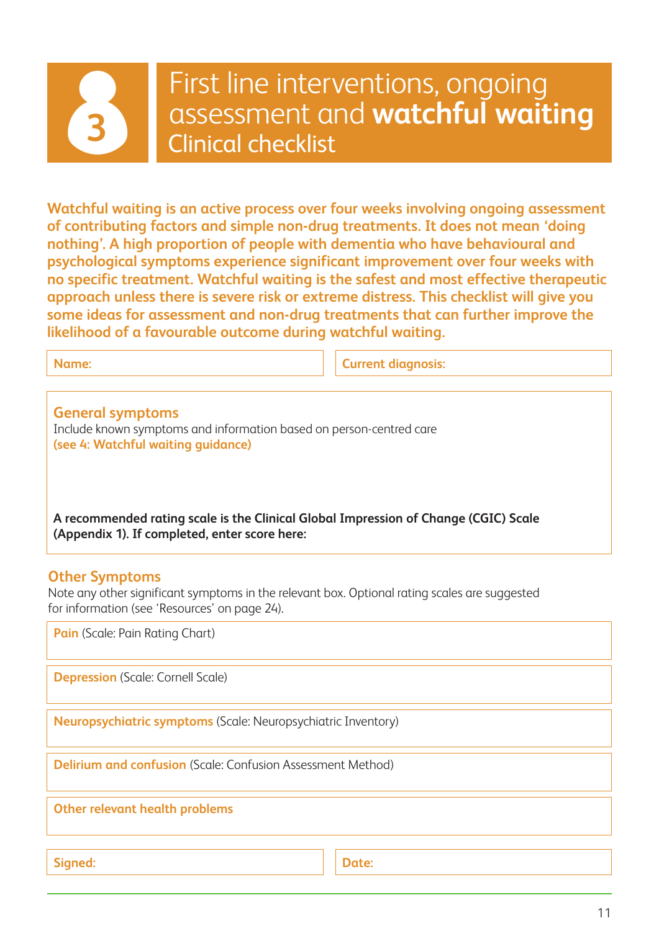

## First line interventions, ongoing assessment and **watchful waiting 3** Clinical checklist

**Watchful waiting is an active process over four weeks involving ongoing assessment of contributing factors and simple non-drug treatments. It does not mean 'doing nothing'. A high proportion of people with dementia who have behavioural and psychological symptoms experience significant improvement over four weeks with no specific treatment. Watchful waiting is the safest and most effective therapeutic approach unless there is severe risk or extreme distress. This checklist will give you some ideas for assessment and non-drug treatments that can further improve the likelihood of a favourable outcome during watchful waiting.** 

**Name: Name: Current diagnosis: Current diagnosis:** 

**General symptoms** Include known symptoms and information based on person-centred care **(see 4: Watchful waiting guidance)**

**A recommended rating scale is the Clinical Global Impression of Change (CGIC) Scale (Appendix 1). If completed, enter score here:**

#### **Other Symptoms**

Note any other significant symptoms in the relevant box. Optional rating scales are suggested for information (see 'Resources' on page 24).

**Pain** (Scale: Pain Rating Chart)

**Depression** (Scale: Cornell Scale)

**Neuropsychiatric symptoms** (Scale: Neuropsychiatric Inventory)

**Delirium and confusion** (Scale: Confusion Assessment Method)

**Other relevant health problems**

Signed: **Date: Date: Date: Date: Date: Date: Date: Date: Date: Date: Date: Date: Date: Date: Date: Date: Date: Date: Date: Date: Date: Date: Date: Date: Date: Date: Date:**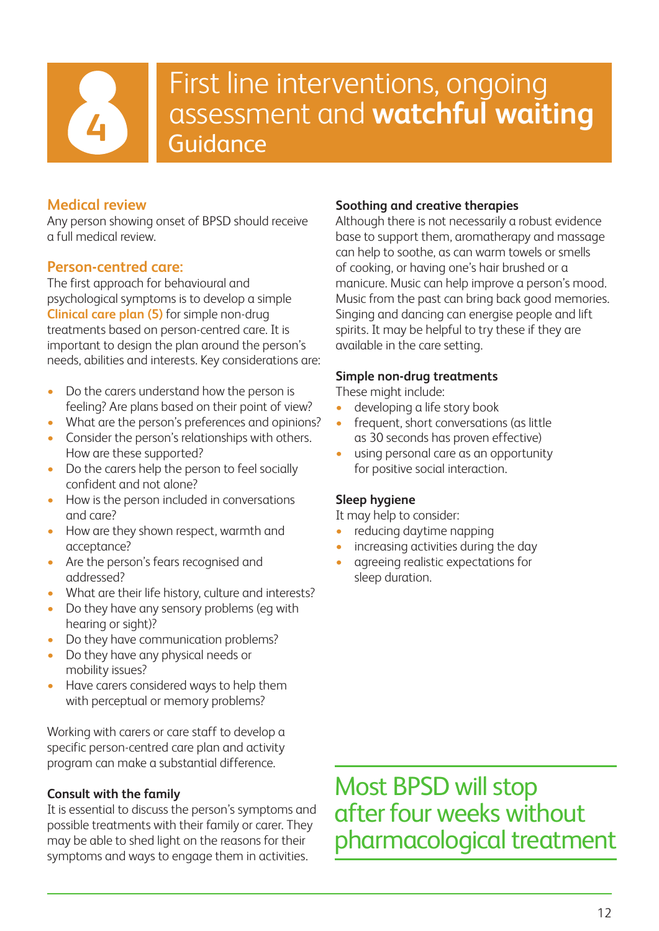

## First line interventions, ongoing assessment and **watchful waiting** Guidance

#### **Medical review**

Any person showing onset of BPSD should receive a full medical review.

#### **Person-centred care:**

The first approach for behavioural and psychological symptoms is to develop a simple **Clinical care plan (5)** for simple non-drug treatments based on person-centred care. It is important to design the plan around the person's needs, abilities and interests. Key considerations are:

- Do the carers understand how the person is feeling? Are plans based on their point of view?
- What are the person's preferences and opinions?
- Consider the person's relationships with others. How are these supported?
- Do the carers help the person to feel socially confident and not alone?
- How is the person included in conversations and care?
- How are they shown respect, warmth and acceptance?
- Are the person's fears recognised and addressed?
- What are their life history, culture and interests?
- Do they have any sensory problems (eg with hearing or sight)?
- Do they have communication problems?
- Do they have any physical needs or mobility issues?
- Have carers considered ways to help them with perceptual or memory problems?

Working with carers or care staff to develop a specific person-centred care plan and activity program can make a substantial difference.

#### **Consult with the family**

It is essential to discuss the person's symptoms and possible treatments with their family or carer. They may be able to shed light on the reasons for their symptoms and ways to engage them in activities.

#### **Soothing and creative therapies**

Although there is not necessarily a robust evidence base to support them, aromatherapy and massage can help to soothe, as can warm towels or smells of cooking, or having one's hair brushed or a manicure. Music can help improve a person's mood. Music from the past can bring back good memories. Singing and dancing can energise people and lift spirits. It may be helpful to try these if they are available in the care setting.

#### **Simple non-drug treatments**

These might include:

- developing a life story book
- frequent, short conversations (as little as 30 seconds has proven effective)
- using personal care as an opportunity for positive social interaction.

#### **Sleep hygiene**

It may help to consider:

- reducing daytime napping
- increasing activities during the day
- agreeing realistic expectations for sleep duration.

Most BPSD will stop after four weeks without pharmacological treatment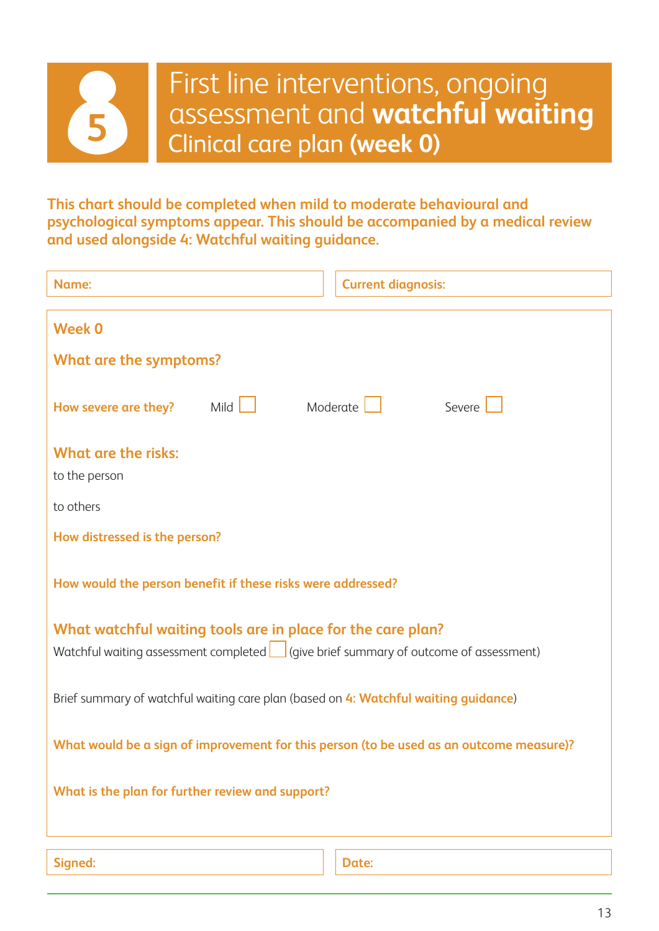

**This chart should be completed when mild to moderate behavioural and psychological symptoms appear. This should be accompanied by a medical review and used alongside 4: Watchful waiting guidance.**

| Name:                                                                                                                                                     |  | <b>Current diagnosis:</b> |
|-----------------------------------------------------------------------------------------------------------------------------------------------------------|--|---------------------------|
| <b>Week 0</b>                                                                                                                                             |  |                           |
| What are the symptoms?                                                                                                                                    |  |                           |
| Mild $\Box$<br>How severe are they?                                                                                                                       |  | Moderate<br>Severe        |
| <b>What are the risks:</b>                                                                                                                                |  |                           |
| to the person                                                                                                                                             |  |                           |
| to others                                                                                                                                                 |  |                           |
| How distressed is the person?                                                                                                                             |  |                           |
| How would the person benefit if these risks were addressed?                                                                                               |  |                           |
| What watchful waiting tools are in place for the care plan?<br>Watchful waiting assessment completed $\Box$ (give brief summary of outcome of assessment) |  |                           |
| Brief summary of watchful waiting care plan (based on 4: Watchful waiting guidance)                                                                       |  |                           |
| What would be a sign of improvement for this person (to be used as an outcome measure)?                                                                   |  |                           |
| What is the plan for further review and support?                                                                                                          |  |                           |
| Signed:                                                                                                                                                   |  | Date:                     |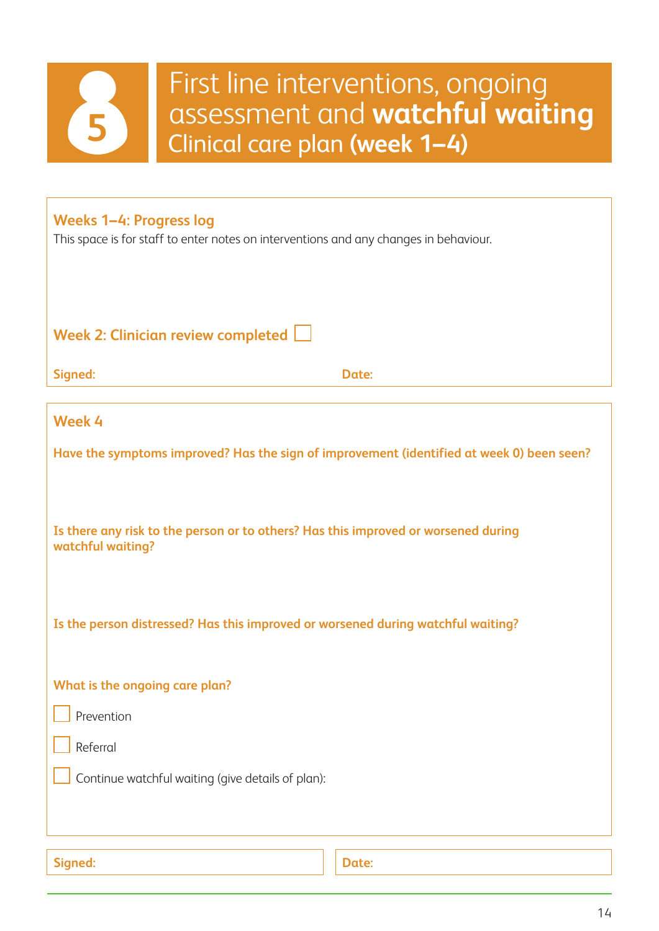

## First line interventions, ongoing assessment and **watchful waiting** Clinical care plan **(week 1–4)**

#### **Weeks 1–4: Progress log**

This space is for staff to enter notes on interventions and any changes in behaviour.

**Week 2: Clinician review completed** 

**Signed: Date:**

| Week 4                                                                                                  |       |  |
|---------------------------------------------------------------------------------------------------------|-------|--|
| Have the symptoms improved? Has the sign of improvement (identified at week 0) been seen?               |       |  |
|                                                                                                         |       |  |
| Is there any risk to the person or to others? Has this improved or worsened during<br>watchful waiting? |       |  |
|                                                                                                         |       |  |
| Is the person distressed? Has this improved or worsened during watchful waiting?                        |       |  |
|                                                                                                         |       |  |
| What is the ongoing care plan?                                                                          |       |  |
| Prevention                                                                                              |       |  |
| Referral                                                                                                |       |  |
| Continue watchful waiting (give details of plan):                                                       |       |  |
|                                                                                                         |       |  |
|                                                                                                         |       |  |
| Signed:                                                                                                 | Date: |  |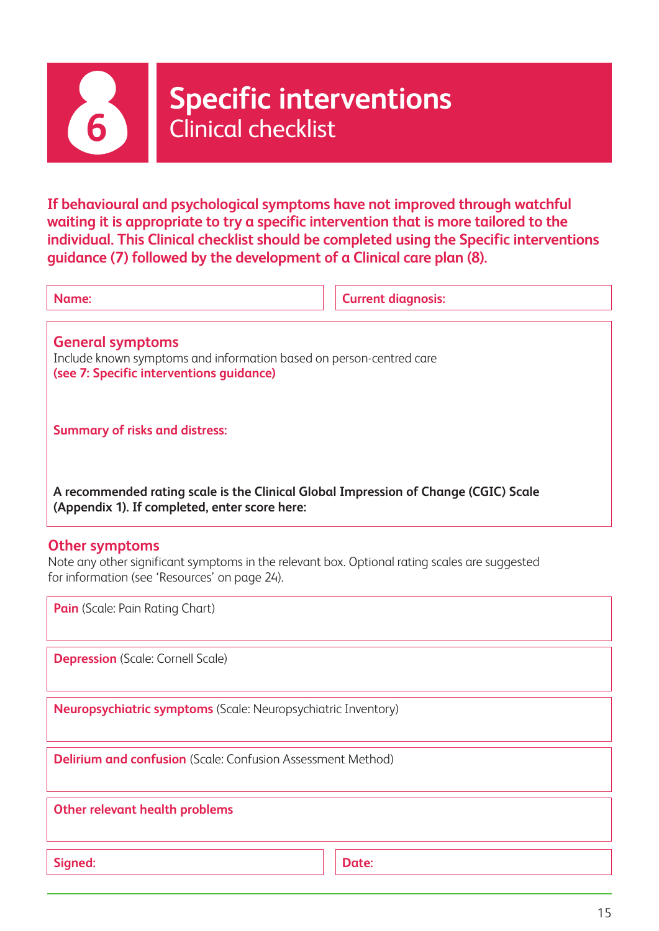

## **Specific interventions 6 Specific inter**<br>**6** Clinical checklist

**If behavioural and psychological symptoms have not improved through watchful waiting it is appropriate to try a specific intervention that is more tailored to the individual. This Clinical checklist should be completed using the Specific interventions guidance (7) followed by the development of a Clinical care plan (8).**

| . .<br>M. |  |
|-----------|--|

**Current diagnosis:** 

**General symptoms** Include known symptoms and information based on person-centred care **(see 7: Specific interventions guidance)**

**Summary of risks and distress:**

**A recommended rating scale is the Clinical Global Impression of Change (CGIC) Scale (Appendix 1). If completed, enter score here:**

#### **Other symptoms**

Note any other significant symptoms in the relevant box. Optional rating scales are suggested for information (see 'Resources' on page 24).

**Pain** (Scale: Pain Rating Chart)

**Depression** (Scale: Cornell Scale)

**Neuropsychiatric symptoms** (Scale: Neuropsychiatric Inventory)

**Delirium and confusion** (Scale: Confusion Assessment Method)

**Other relevant health problems**

Signed: **Date: Date: Date: Date: Date: Date: Date: Date: Date: Date: Date: Date: Date: Date: Date: Date: Date: Date: Date: Date: Date: Date: Date: Date: Date: Date: Date:**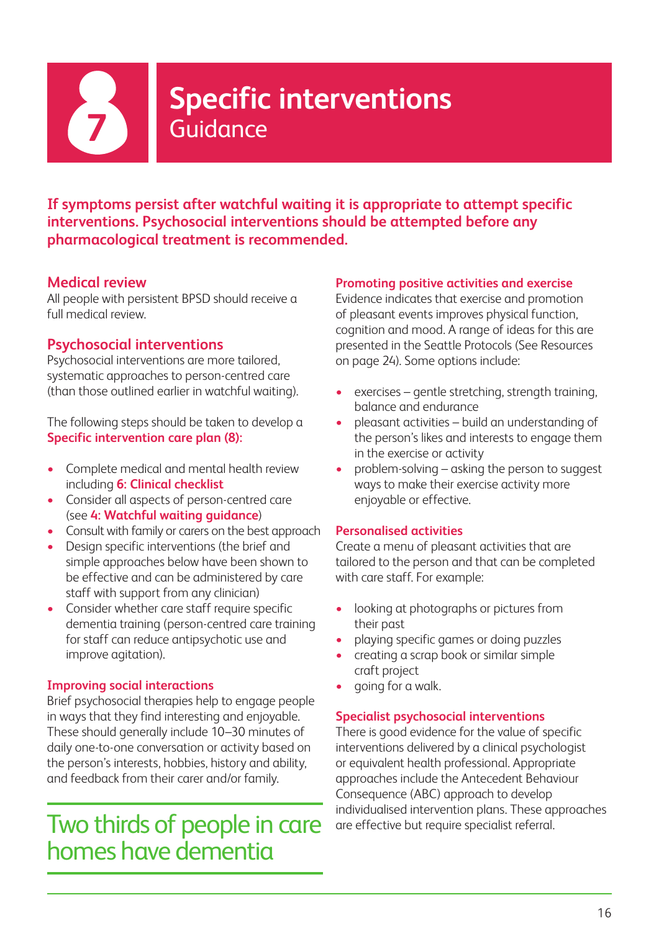

## **Specific interventions 7** Guidance

**If symptoms persist after watchful waiting it is appropriate to attempt specific interventions. Psychosocial interventions should be attempted before any pharmacological treatment is recommended.**

#### **Medical review**

All people with persistent BPSD should receive a full medical review.

#### **Psychosocial interventions**

Psychosocial interventions are more tailored, systematic approaches to person-centred care (than those outlined earlier in watchful waiting).

The following steps should be taken to develop a **Specific intervention care plan (8):**

- Complete medical and mental health review including **6: Clinical checklist**
- Consider all aspects of person-centred care (see **4: Watchful waiting guidance**)
- Consult with family or carers on the best approach
- Design specific interventions (the brief and simple approaches below have been shown to be effective and can be administered by care staff with support from any clinician)
- Consider whether care staff require specific dementia training (person-centred care training for staff can reduce antipsychotic use and improve agitation).

#### **Improving social interactions**

Brief psychosocial therapies help to engage people in ways that they find interesting and enjoyable. These should generally include 10–30 minutes of daily one-to-one conversation or activity based on the person's interests, hobbies, history and ability, and feedback from their carer and/or family.

## Two thirds of people in care homes have dementia

#### **Promoting positive activities and exercise**

Evidence indicates that exercise and promotion of pleasant events improves physical function, cognition and mood. A range of ideas for this are presented in the Seattle Protocols (See Resources on page 24). Some options include:

- exercises gentle stretching, strength training, balance and endurance
- pleasant activities build an understanding of the person's likes and interests to engage them in the exercise or activity
- problem-solving asking the person to suggest ways to make their exercise activity more enjoyable or effective.

#### **Personalised activities**

Create a menu of pleasant activities that are tailored to the person and that can be completed with care staff. For example:

- looking at photographs or pictures from their past
- playing specific games or doing puzzles
- creating a scrap book or similar simple craft project
- going for a walk.

#### **Specialist psychosocial interventions**

There is good evidence for the value of specific interventions delivered by a clinical psychologist or equivalent health professional. Appropriate approaches include the Antecedent Behaviour Consequence (ABC) approach to develop individualised intervention plans. These approaches are effective but require specialist referral.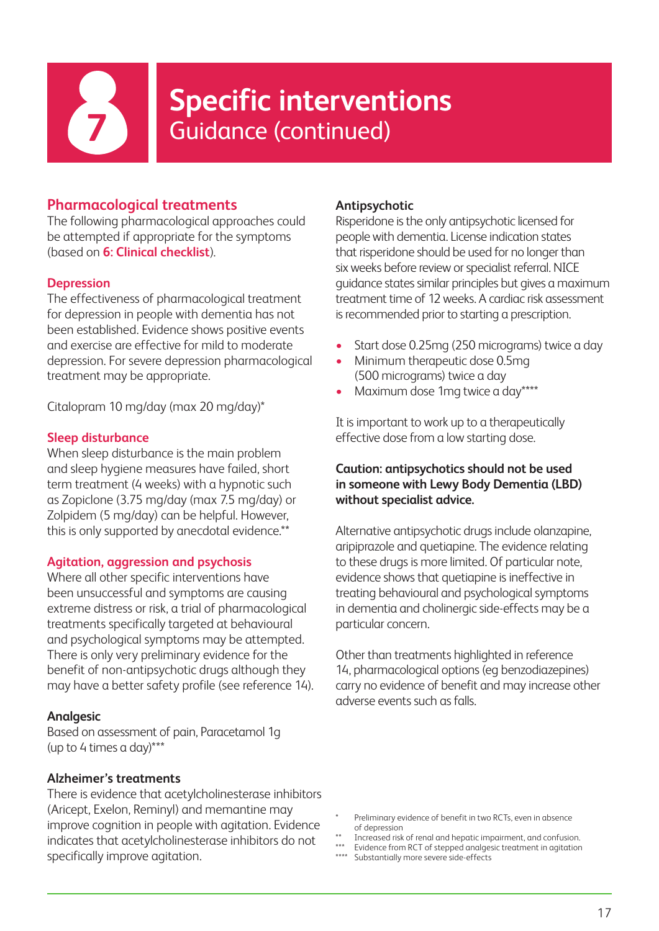

## **Specific interventions**<br>**Guidance (continued)**

#### **Pharmacological treatments**

The following pharmacological approaches could be attempted if appropriate for the symptoms (based on **6: Clinical checklist**).

#### **Depression**

The effectiveness of pharmacological treatment for depression in people with dementia has not been established. Evidence shows positive events and exercise are effective for mild to moderate depression. For severe depression pharmacological treatment may be appropriate.

Citalopram 10 mg/day (max 20 mg/day)\*

#### **Sleep disturbance**

When sleep disturbance is the main problem and sleep hygiene measures have failed, short term treatment (4 weeks) with a hypnotic such as Zopiclone (3.75 mg/day (max 7.5 mg/day) or Zolpidem (5 mg/day) can be helpful. However, this is only supported by anecdotal evidence.\*\*

#### **Agitation, aggression and psychosis**

Where all other specific interventions have been unsuccessful and symptoms are causing extreme distress or risk, a trial of pharmacological treatments specifically targeted at behavioural and psychological symptoms may be attempted. There is only very preliminary evidence for the benefit of non-antipsychotic drugs although they may have a better safety profile (see reference 14).

#### **Analgesic**

Based on assessment of pain, Paracetamol 1g (up to 4 times a day)\*\*\*

#### **Alzheimer's treatments**

There is evidence that acetylcholinesterase inhibitors (Aricept, Exelon, Reminyl) and memantine may improve cognition in people with agitation. Evidence indicates that acetylcholinesterase inhibitors do not specifically improve agitation.

#### **Antipsychotic**

Risperidone is the only antipsychotic licensed for people with dementia. License indication states that risperidone should be used for no longer than six weeks before review or specialist referral. NICE guidance states similar principles but gives a maximum treatment time of 12 weeks. A cardiac risk assessment is recommended prior to starting a prescription.

- Start dose 0.25mg (250 micrograms) twice a day
- Minimum therapeutic dose 0.5mg (500 micrograms) twice a day
- Maximum dose 1mg twice a day\*\*\*\*

It is important to work up to a therapeutically effective dose from a low starting dose.

#### **Caution: antipsychotics should not be used in someone with Lewy Body Dementia (LBD) without specialist advice.**

Alternative antipsychotic drugs include olanzapine, aripiprazole and quetiapine. The evidence relating to these drugs is more limited. Of particular note, evidence shows that quetiapine is ineffective in treating behavioural and psychological symptoms in dementia and cholinergic side-effects may be a particular concern.

Other than treatments highlighted in reference 14, pharmacological options (eg benzodiazepines) carry no evidence of benefit and may increase other adverse events such as falls.

- Preliminary evidence of benefit in two RCTs, even in absence of depression
- \*\* Increased risk of renal and hepatic impairment, and confusion.
- \*\*\* Evidence from RCT of stepped analgesic treatment in agitation
- Substantially more severe side-effects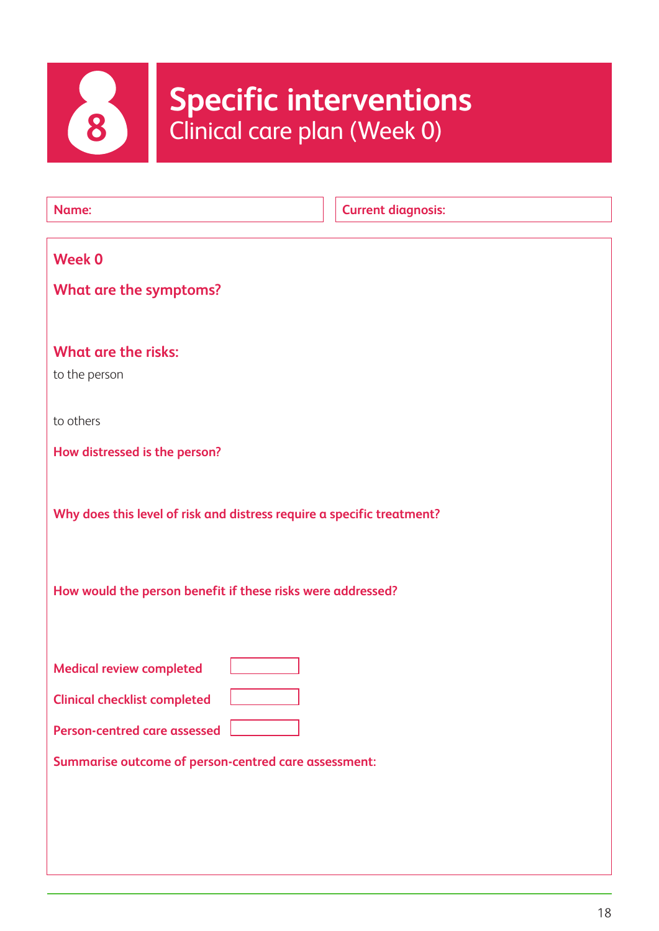

# **Specific interventions**<br> **8** Clinical care plan (Week 0)

| Name:                                                                  | <b>Current diagnosis:</b> |
|------------------------------------------------------------------------|---------------------------|
| <b>Week 0</b>                                                          |                           |
| What are the symptoms?                                                 |                           |
|                                                                        |                           |
| <b>What are the risks:</b>                                             |                           |
| to the person                                                          |                           |
| to others                                                              |                           |
| How distressed is the person?                                          |                           |
|                                                                        |                           |
|                                                                        |                           |
| Why does this level of risk and distress require a specific treatment? |                           |
|                                                                        |                           |
| How would the person benefit if these risks were addressed?            |                           |
|                                                                        |                           |
|                                                                        |                           |
| <b>Medical review completed</b>                                        |                           |
| <b>Clinical checklist completed</b>                                    |                           |
| Person-centred care assessed                                           |                           |
| Summarise outcome of person-centred care assessment:                   |                           |
|                                                                        |                           |
|                                                                        |                           |
|                                                                        |                           |
|                                                                        |                           |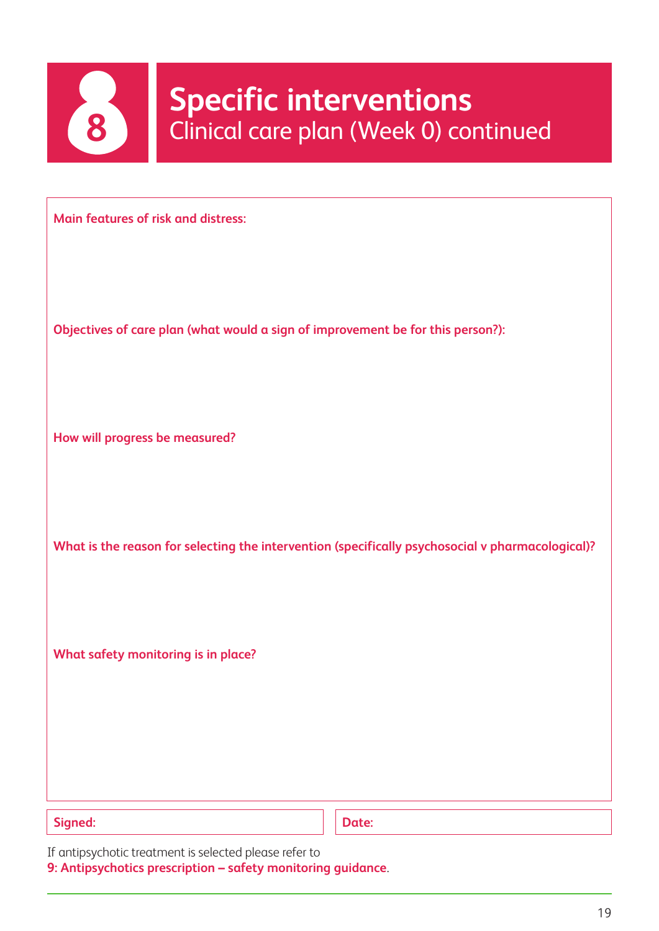

## **8** Specific interventions<br>
Clinical care plan (Week 0) continued

**Main features of risk and distress:**

**Objectives of care plan (what would a sign of improvement be for this person?):**

**How will progress be measured?**

**What is the reason for selecting the intervention (specifically psychosocial v pharmacological)?**

**What safety monitoring is in place?**

Signed: **Date: Date: Date: Date: Date: Date: Date: Date: Date: Date: Date: Date: Date: Date: Date: Date: Date: Date: Date: Date: Date: Date: Date: Date: Date: Date: Date:** 

If antipsychotic treatment is selected please refer to

**9: Antipsychotics prescription – safety monitoring guidance**.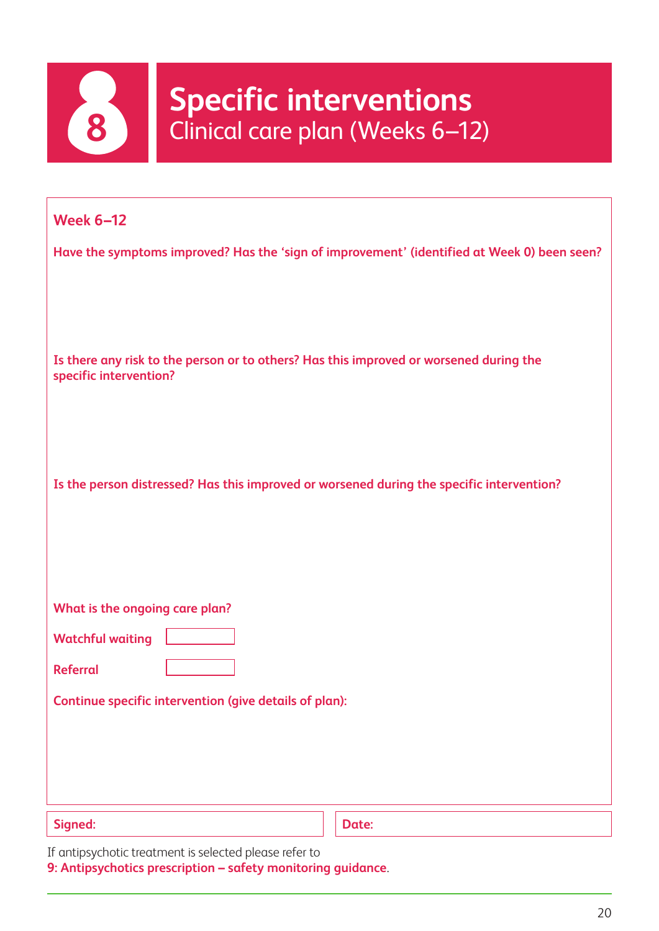

## **Specific interventions**<br> **8** Clinical care plan (Weeks 6–12)

| <b>Week 6-12</b>                                                                                                 |       |
|------------------------------------------------------------------------------------------------------------------|-------|
| Have the symptoms improved? Has the 'sign of improvement' (identified at Week 0) been seen?                      |       |
| Is there any risk to the person or to others? Has this improved or worsened during the<br>specific intervention? |       |
| Is the person distressed? Has this improved or worsened during the specific intervention?                        |       |
| What is the ongoing care plan?                                                                                   |       |
| <b>Watchful waiting</b>                                                                                          |       |
| <b>Referral</b>                                                                                                  |       |
| Continue specific intervention (give details of plan):                                                           |       |
| Signed:                                                                                                          | Date: |

If antipsychotic treatment is selected please refer to

**9: Antipsychotics prescription – safety monitoring guidance**.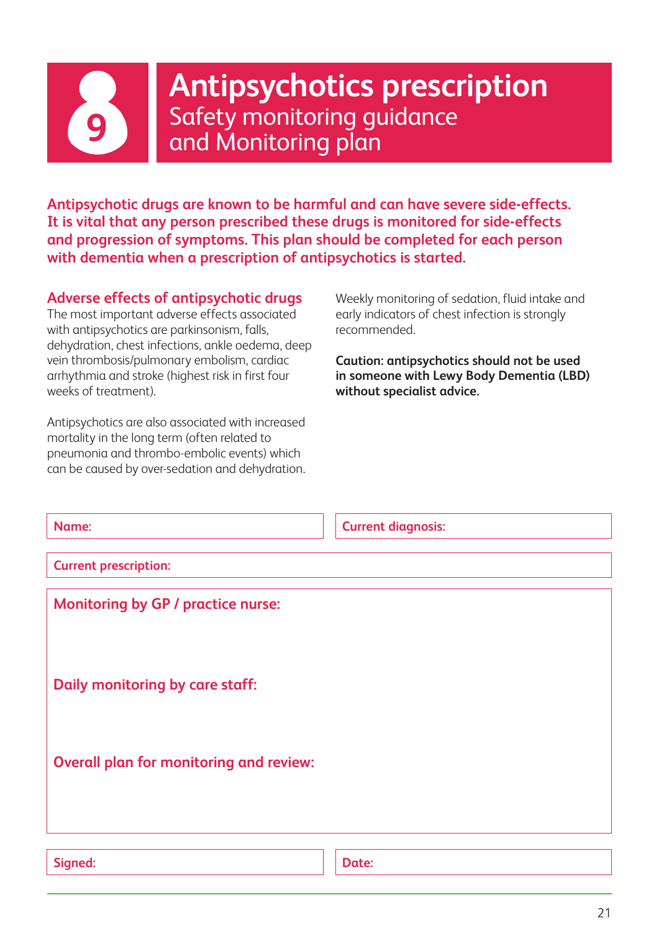

**Antipsychotics prescription** Safety monitoring guidance **9** and Monitoring plan

**Antipsychotic drugs are known to be harmful and can have severe side-effects. It is vital that any person prescribed these drugs is monitored for side-effects and progression of symptoms. This plan should be completed for each person with dementia when a prescription of antipsychotics is started.**

#### **Adverse effects of antipsychotic drugs**

The most important adverse effects associated with antipsychotics are parkinsonism, falls, dehydration, chest infections, ankle oedema, deep vein thrombosis/pulmonary embolism, cardiac arrhythmia and stroke (highest risk in first four weeks of treatment).

Antipsychotics are also associated with increased mortality in the long term (often related to pneumonia and thrombo-embolic events) which can be caused by over-sedation and dehydration. Weekly monitoring of sedation, fluid intake and early indicators of chest infection is strongly recommended.

**Caution: antipsychotics should not be used in someone with Lewy Body Dementia (LBD) without specialist advice.**

| Name:                                          | <b>Current diagnosis:</b> |
|------------------------------------------------|---------------------------|
| <b>Current prescription:</b>                   |                           |
| <b>Monitoring by GP / practice nurse:</b>      |                           |
|                                                |                           |
| <b>Daily monitoring by care staff:</b>         |                           |
| <b>Overall plan for monitoring and review:</b> |                           |
|                                                |                           |
|                                                |                           |
| Signed:                                        | Date:                     |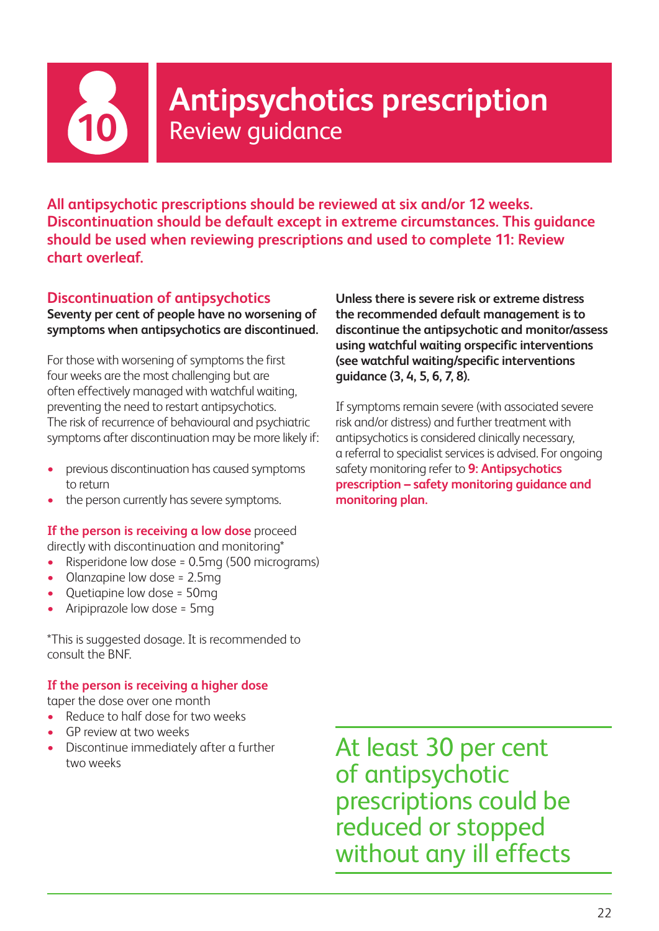

## **Antipsychotics prescription**<br>Review guidance

**All antipsychotic prescriptions should be reviewed at six and/or 12 weeks. Discontinuation should be default except in extreme circumstances. This guidance should be used when reviewing prescriptions and used to complete 11: Review chart overleaf.**

#### **Discontinuation of antipsychotics Seventy per cent of people have no worsening of symptoms when antipsychotics are discontinued.**

For those with worsening of symptoms the first four weeks are the most challenging but are often effectively managed with watchful waiting, preventing the need to restart antipsychotics. The risk of recurrence of behavioural and psychiatric symptoms after discontinuation may be more likely if:

- previous discontinuation has caused symptoms to return
- the person currently has severe symptoms.

**If the person is receiving a low dose** proceed directly with discontinuation and monitoring\*

- Risperidone low dose = 0.5mg (500 micrograms)
- Olanzapine low dose = 2.5mg
- Quetiapine low dose = 50mg
- Aripiprazole low dose = 5mg

\*This is suggested dosage. It is recommended to consult the BNF.

#### **If the person is receiving a higher dose**

taper the dose over one month

- Reduce to half dose for two weeks
- GP review at two weeks
- Discontinue immediately after a further two weeks

**Unless there is severe risk or extreme distress the recommended default management is to discontinue the antipsychotic and monitor/assess using watchful waiting orspecific interventions (see watchful waiting/specific interventions guidance (3, 4, 5, 6, 7, 8).**

If symptoms remain severe (with associated severe risk and/or distress) and further treatment with antipsychotics is considered clinically necessary, a referral to specialist services is advised. For ongoing safety monitoring refer to **9: Antipsychotics prescription – safety monitoring guidance and monitoring plan.**

At least 30 per cent of antipsychotic prescriptions could be reduced or stopped without any ill effects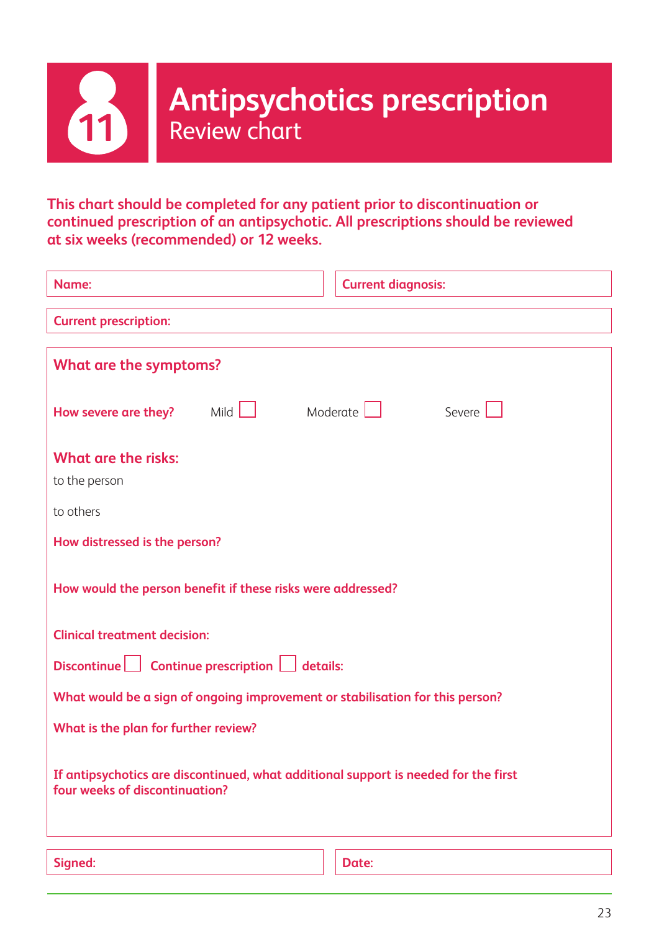

**This chart should be completed for any patient prior to discontinuation or continued prescription of an antipsychotic. All prescriptions should be reviewed at six weeks (recommended) or 12 weeks.**

| Name:                                                                                                                 | <b>Current diagnosis:</b> |  |
|-----------------------------------------------------------------------------------------------------------------------|---------------------------|--|
| <b>Current prescription:</b>                                                                                          |                           |  |
| What are the symptoms?                                                                                                |                           |  |
| Mild $\Box$<br>How severe are they?                                                                                   | Moderate<br>Severe        |  |
| <b>What are the risks:</b><br>to the person                                                                           |                           |  |
| to others                                                                                                             |                           |  |
| How distressed is the person?                                                                                         |                           |  |
| How would the person benefit if these risks were addressed?                                                           |                           |  |
| <b>Clinical treatment decision:</b>                                                                                   |                           |  |
| Discontinue $\Box$ Continue prescription $\Box$ details:                                                              |                           |  |
| What would be a sign of ongoing improvement or stabilisation for this person?                                         |                           |  |
| What is the plan for further review?                                                                                  |                           |  |
| If antipsychotics are discontinued, what additional support is needed for the first<br>four weeks of discontinuation? |                           |  |
| Signed:                                                                                                               | Date:                     |  |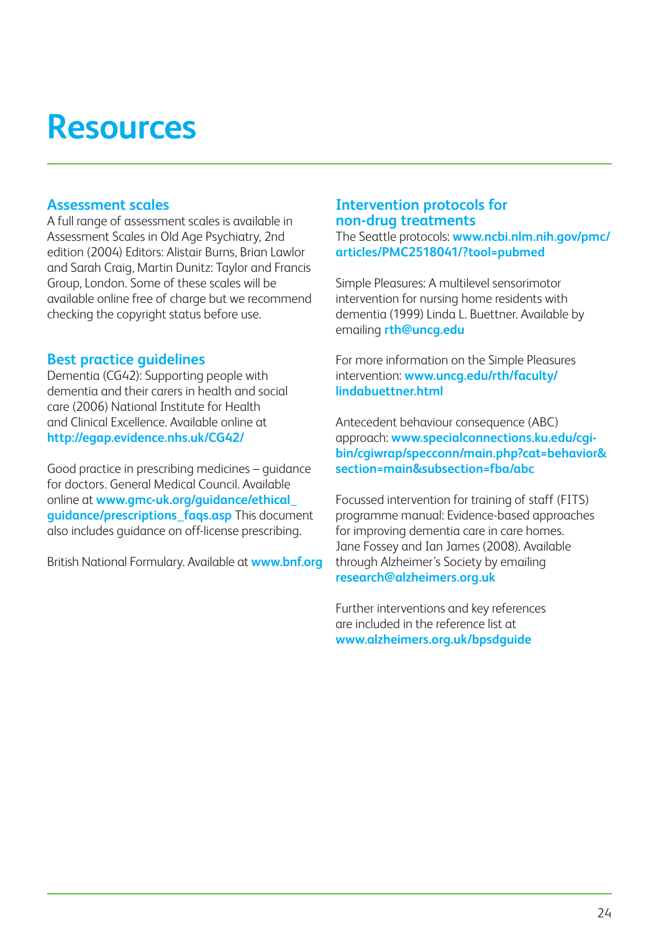## **Resources**

#### **Assessment scales**

A full range of assessment scales is available in Assessment Scales in Old Age Psychiatry, 2nd edition (2004) Editors: Alistair Burns, Brian Lawlor and Sarah Craig, Martin Dunitz: Taylor and Francis Group, London. Some of these scales will be available online free of charge but we recommend checking the copyright status before use.

#### **Best practice guidelines**

Dementia (CG42): Supporting people with dementia and their carers in health and social care (2006) National Institute for Health and Clinical Excellence. Available online at **http://egap.evidence.nhs.uk/CG42/**

Good practice in prescribing medicines – guidance for doctors. General Medical Council. Available online at **www.gmc-uk.org/guidance/ethical\_ guidance/prescriptions\_faqs.asp** This document also includes guidance on off-license prescribing.

British National Formulary. Available at **www.bnf.org**

#### **Intervention protocols for non-drug treatments**

The Seattle protocols: **www.ncbi.nlm.nih.gov/pmc/ articles/PMC2518041/?tool=pubmed**

Simple Pleasures: A multilevel sensorimotor intervention for nursing home residents with dementia (1999) Linda L. Buettner. Available by emailing **rth@uncg.edu**

For more information on the Simple Pleasures intervention: **www.uncg.edu/rth/faculty/ lindabuettner.html**

Antecedent behaviour consequence (ABC) approach: **www.specialconnections.ku.edu/cgibin/cgiwrap/specconn/main.php?cat=behavior& section=main&subsection=fba/abc**

Focussed intervention for training of staff (FITS) programme manual: Evidence-based approaches for improving dementia care in care homes. Jane Fossey and Ian James (2008). Available through Alzheimer's Society by emailing **research@alzheimers.org.uk**

Further interventions and key references are included in the reference list at **www.alzheimers.org.uk/bpsdguide**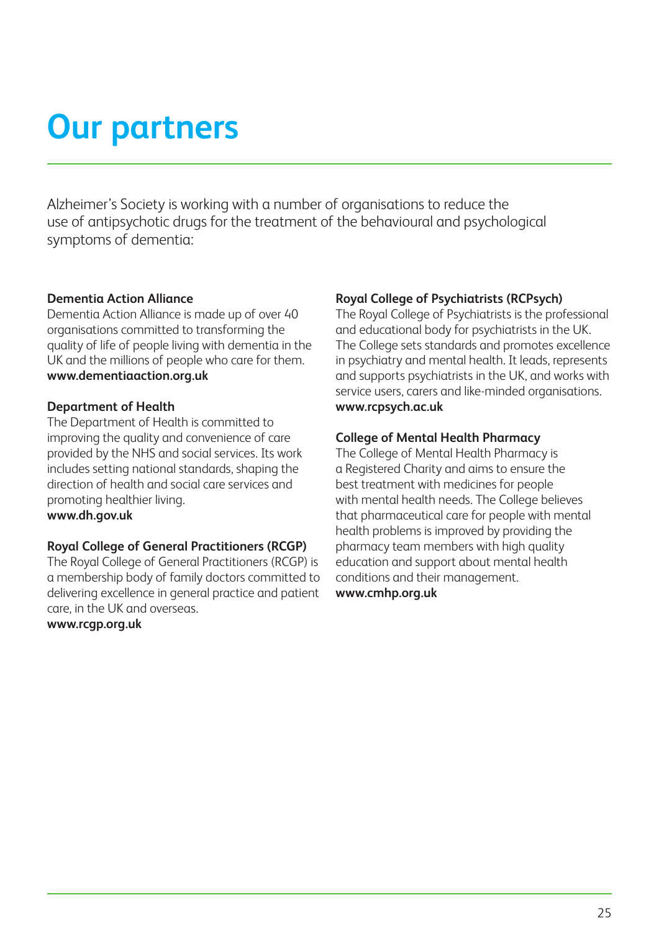## **Our partners**

Alzheimer's Society is working with a number of organisations to reduce the use of antipsychotic drugs for the treatment of the behavioural and psychological symptoms of dementia:

#### **Dementia Action Alliance**

Dementia Action Alliance is made up of over 40 organisations committed to transforming the quality of life of people living with dementia in the UK and the millions of people who care for them. **www.dementiaaction.org.uk**

#### **Department of Health**

The Department of Health is committed to improving the quality and convenience of care provided by the NHS and social services. Its work includes setting national standards, shaping the direction of health and social care services and promoting healthier living. **www.dh.gov.uk**

#### **Royal College of General Practitioners (RCGP)**

The Royal College of General Practitioners (RCGP) is a membership body of family doctors committed to delivering excellence in general practice and patient care, in the UK and overseas.

**www.rcgp.org.uk**

#### **Royal College of Psychiatrists (RCPsych)**

The Royal College of Psychiatrists is the professional and educational body for psychiatrists in the UK. The College sets standards and promotes excellence in psychiatry and mental health. It leads, represents and supports psychiatrists in the UK, and works with service users, carers and like-minded organisations. **www.rcpsych.ac.uk**

#### **College of Mental Health Pharmacy**

The College of Mental Health Pharmacy is a Registered Charity and aims to ensure the best treatment with medicines for people with mental health needs. The College believes that pharmaceutical care for people with mental health problems is improved by providing the pharmacy team members with high quality education and support about mental health conditions and their management. **www.cmhp.org.uk**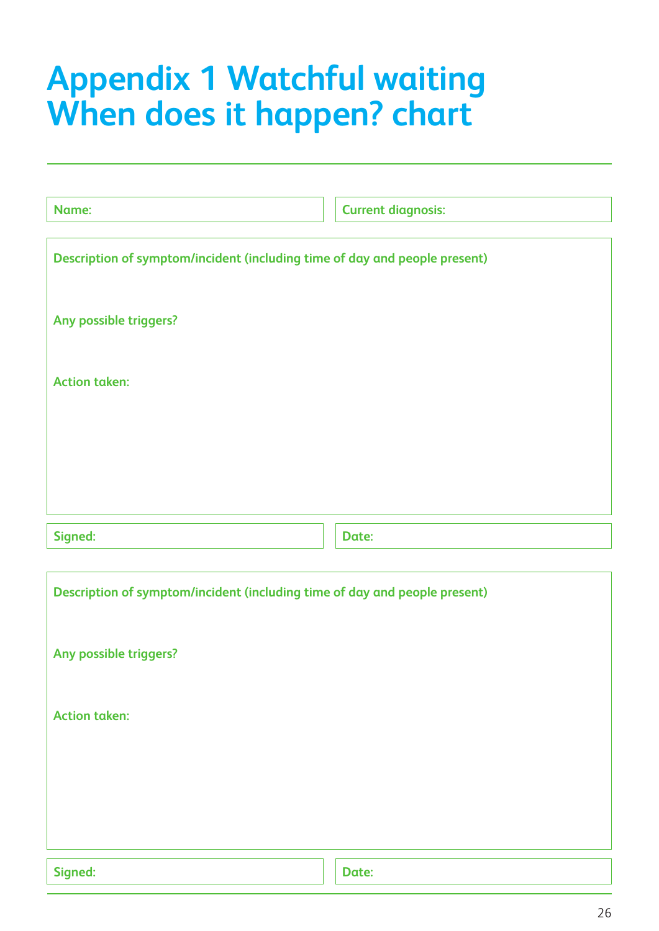## **Appendix 1 Watchful waiting When does it happen? chart**

| Name:                                                                      | <b>Current diagnosis:</b> |
|----------------------------------------------------------------------------|---------------------------|
|                                                                            |                           |
| Description of symptom/incident (including time of day and people present) |                           |
|                                                                            |                           |
|                                                                            |                           |
| Any possible triggers?                                                     |                           |
|                                                                            |                           |
| <b>Action taken:</b>                                                       |                           |
|                                                                            |                           |
|                                                                            |                           |
|                                                                            |                           |
|                                                                            |                           |
|                                                                            |                           |
|                                                                            |                           |
| Signed:                                                                    | Date:                     |
|                                                                            |                           |
| Description of symptom/incident (including time of day and people present) |                           |
|                                                                            |                           |
|                                                                            |                           |
| Any possible triggers?                                                     |                           |
|                                                                            |                           |
| <b>Action taken:</b>                                                       |                           |
|                                                                            |                           |
|                                                                            |                           |
|                                                                            |                           |
|                                                                            |                           |
|                                                                            |                           |
|                                                                            |                           |
| Signed:                                                                    | Date:                     |